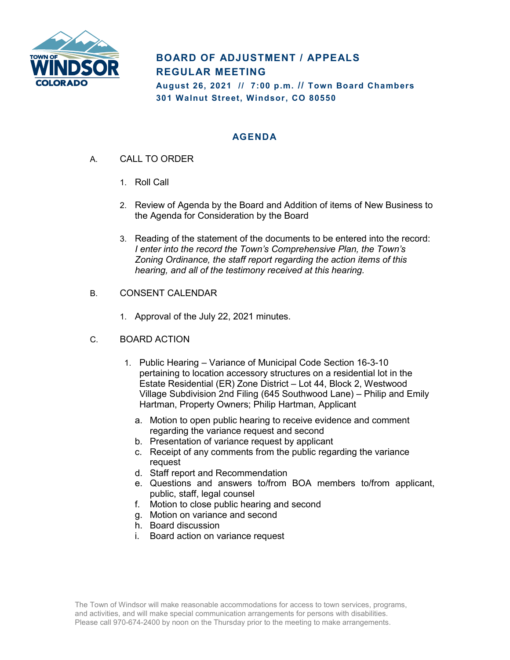

## **BOARD OF ADJUSTMENT / APPEALS REGULAR MEETING**

**August 26, 2021 // 7:00 p.m. // Town Board Chambers 301 Walnut Street, Windsor, CO 80550**

## **AGENDA**

- A. CALL TO ORDER
	- 1. Roll Call
	- 2. Review of Agenda by the Board and Addition of items of New Business to the Agenda for Consideration by the Board
	- 3. Reading of the statement of the documents to be entered into the record: *I enter into the record the Town's Comprehensive Plan, the Town's Zoning Ordinance, the staff report regarding the action items of this hearing, and all of the testimony received at this hearing.*
- B. CONSENT CALENDAR
	- 1. Approval of the July 22, 2021 minutes.
- C. BOARD ACTION
	- 1. Public Hearing Variance of Municipal Code Section 16-3-10 pertaining to location accessory structures on a residential lot in the Estate Residential (ER) Zone District – Lot 44, Block 2, Westwood Village Subdivision 2nd Filing (645 Southwood Lane) – Philip and Emily Hartman, Property Owners; Philip Hartman, Applicant
		- a. Motion to open public hearing to receive evidence and comment regarding the variance request and second
		- b. Presentation of variance request by applicant
		- c. Receipt of any comments from the public regarding the variance request
		- d. Staff report and Recommendation
		- e. Questions and answers to/from BOA members to/from applicant, public, staff, legal counsel
		- f. Motion to close public hearing and second
		- g. Motion on variance and second
		- h. Board discussion
		- i. Board action on variance request